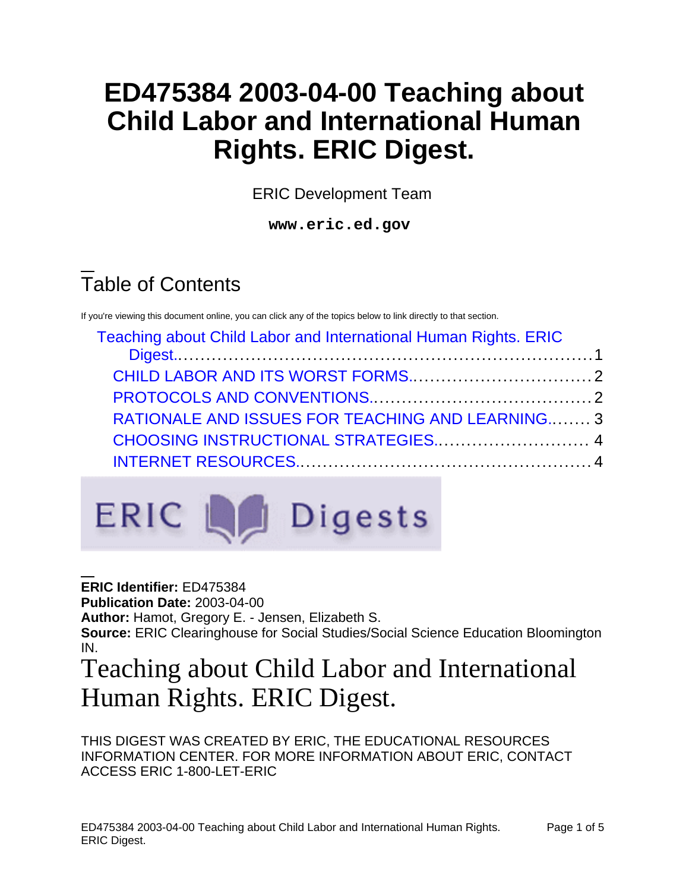## **ED475384 2003-04-00 Teaching about Child Labor and International Human Rights. ERIC Digest.**

ERIC Development Team

**www.eric.ed.gov**

# Table of Contents

If you're viewing this document online, you can click any of the topics below to link directly to that section.

| Teaching about Child Labor and International Human Rights. ERIC |  |
|-----------------------------------------------------------------|--|
|                                                                 |  |
|                                                                 |  |
|                                                                 |  |
| <b>RATIONALE AND ISSUES FOR TEACHING AND LEARNING3</b>          |  |
| CHOOSING INSTRUCTIONAL STRATEGIES 4                             |  |
|                                                                 |  |
|                                                                 |  |



**ERIC Identifier:** ED475384 **Publication Date:** 2003-04-00 **Author:** Hamot, Gregory E. - Jensen, Elizabeth S. **Source:** ERIC Clearinghouse for Social Studies/Social Science Education Bloomington IN.

### <span id="page-0-0"></span>Teaching about Child Labor and International Human Rights. ERIC Digest.

THIS DIGEST WAS CREATED BY ERIC, THE EDUCATIONAL RESOURCES INFORMATION CENTER. FOR MORE INFORMATION ABOUT ERIC, CONTACT ACCESS ERIC 1-800-LET-ERIC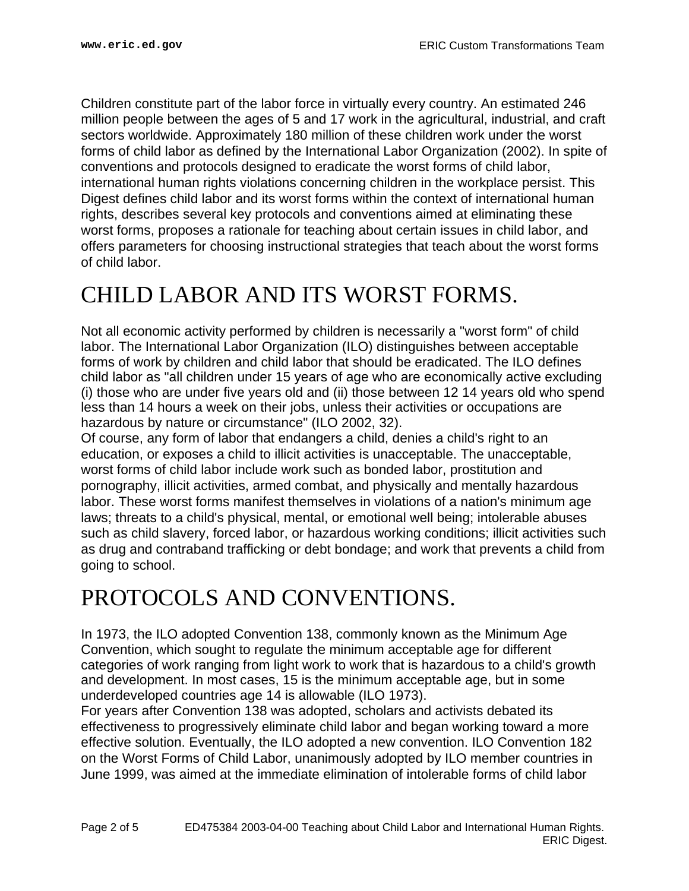Children constitute part of the labor force in virtually every country. An estimated 246 million people between the ages of 5 and 17 work in the agricultural, industrial, and craft sectors worldwide. Approximately 180 million of these children work under the worst forms of child labor as defined by the International Labor Organization (2002). In spite of conventions and protocols designed to eradicate the worst forms of child labor, international human rights violations concerning children in the workplace persist. This Digest defines child labor and its worst forms within the context of international human rights, describes several key protocols and conventions aimed at eliminating these worst forms, proposes a rationale for teaching about certain issues in child labor, and offers parameters for choosing instructional strategies that teach about the worst forms of child labor.

### <span id="page-1-0"></span>CHILD LABOR AND ITS WORST FORMS.

Not all economic activity performed by children is necessarily a "worst form" of child labor. The International Labor Organization (ILO) distinguishes between acceptable forms of work by children and child labor that should be eradicated. The ILO defines child labor as "all children under 15 years of age who are economically active excluding (i) those who are under five years old and (ii) those between 12 14 years old who spend less than 14 hours a week on their jobs, unless their activities or occupations are hazardous by nature or circumstance" (ILO 2002, 32).

Of course, any form of labor that endangers a child, denies a child's right to an education, or exposes a child to illicit activities is unacceptable. The unacceptable, worst forms of child labor include work such as bonded labor, prostitution and pornography, illicit activities, armed combat, and physically and mentally hazardous labor. These worst forms manifest themselves in violations of a nation's minimum age laws; threats to a child's physical, mental, or emotional well being; intolerable abuses such as child slavery, forced labor, or hazardous working conditions; illicit activities such as drug and contraband trafficking or debt bondage; and work that prevents a child from going to school.

#### <span id="page-1-1"></span>PROTOCOLS AND CONVENTIONS.

In 1973, the ILO adopted Convention 138, commonly known as the Minimum Age Convention, which sought to regulate the minimum acceptable age for different categories of work ranging from light work to work that is hazardous to a child's growth and development. In most cases, 15 is the minimum acceptable age, but in some underdeveloped countries age 14 is allowable (ILO 1973).

For years after Convention 138 was adopted, scholars and activists debated its effectiveness to progressively eliminate child labor and began working toward a more effective solution. Eventually, the ILO adopted a new convention. ILO Convention 182 on the Worst Forms of Child Labor, unanimously adopted by ILO member countries in June 1999, was aimed at the immediate elimination of intolerable forms of child labor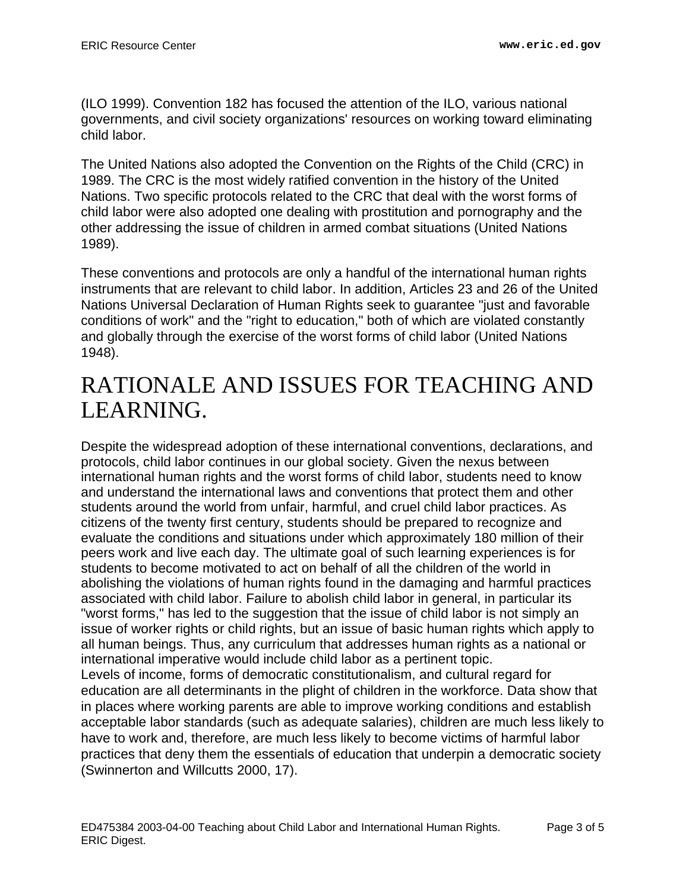(ILO 1999). Convention 182 has focused the attention of the ILO, various national governments, and civil society organizations' resources on working toward eliminating child labor.

The United Nations also adopted the Convention on the Rights of the Child (CRC) in 1989. The CRC is the most widely ratified convention in the history of the United Nations. Two specific protocols related to the CRC that deal with the worst forms of child labor were also adopted one dealing with prostitution and pornography and the other addressing the issue of children in armed combat situations (United Nations 1989).

These conventions and protocols are only a handful of the international human rights instruments that are relevant to child labor. In addition, Articles 23 and 26 of the United Nations Universal Declaration of Human Rights seek to guarantee "just and favorable conditions of work" and the "right to education," both of which are violated constantly and globally through the exercise of the worst forms of child labor (United Nations 1948).

#### <span id="page-2-0"></span>RATIONALE AND ISSUES FOR TEACHING AND LEARNING.

Despite the widespread adoption of these international conventions, declarations, and protocols, child labor continues in our global society. Given the nexus between international human rights and the worst forms of child labor, students need to know and understand the international laws and conventions that protect them and other students around the world from unfair, harmful, and cruel child labor practices. As citizens of the twenty first century, students should be prepared to recognize and evaluate the conditions and situations under which approximately 180 million of their peers work and live each day. The ultimate goal of such learning experiences is for students to become motivated to act on behalf of all the children of the world in abolishing the violations of human rights found in the damaging and harmful practices associated with child labor. Failure to abolish child labor in general, in particular its "worst forms," has led to the suggestion that the issue of child labor is not simply an issue of worker rights or child rights, but an issue of basic human rights which apply to all human beings. Thus, any curriculum that addresses human rights as a national or international imperative would include child labor as a pertinent topic. Levels of income, forms of democratic constitutionalism, and cultural regard for education are all determinants in the plight of children in the workforce. Data show that in places where working parents are able to improve working conditions and establish acceptable labor standards (such as adequate salaries), children are much less likely to have to work and, therefore, are much less likely to become victims of harmful labor practices that deny them the essentials of education that underpin a democratic society (Swinnerton and Willcutts 2000, 17).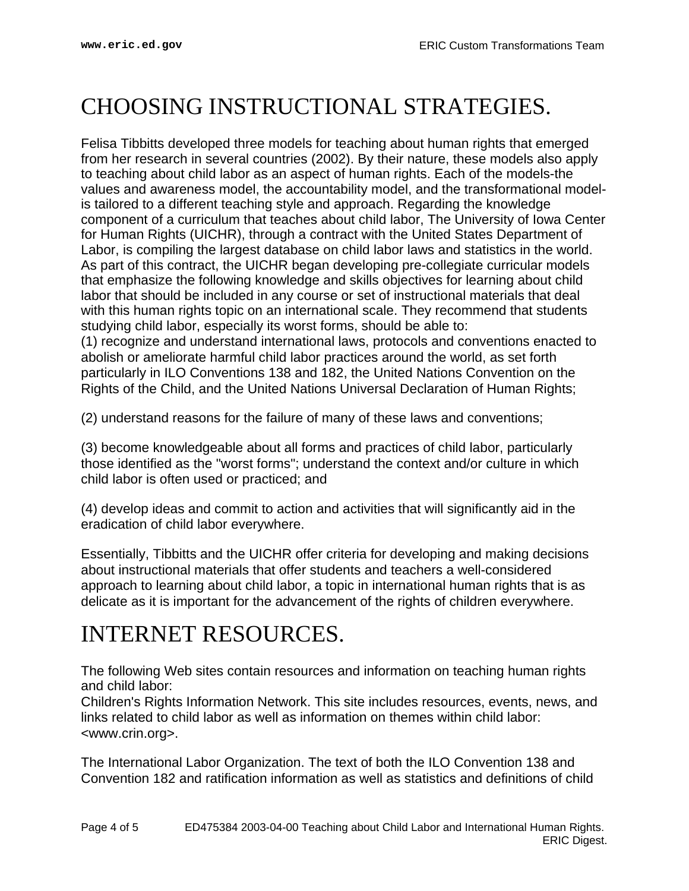#### <span id="page-3-0"></span>CHOOSING INSTRUCTIONAL STRATEGIES.

Felisa Tibbitts developed three models for teaching about human rights that emerged from her research in several countries (2002). By their nature, these models also apply to teaching about child labor as an aspect of human rights. Each of the models-the values and awareness model, the accountability model, and the transformational modelis tailored to a different teaching style and approach. Regarding the knowledge component of a curriculum that teaches about child labor, The University of Iowa Center for Human Rights (UICHR), through a contract with the United States Department of Labor, is compiling the largest database on child labor laws and statistics in the world. As part of this contract, the UICHR began developing pre-collegiate curricular models that emphasize the following knowledge and skills objectives for learning about child labor that should be included in any course or set of instructional materials that deal with this human rights topic on an international scale. They recommend that students studying child labor, especially its worst forms, should be able to:

(1) recognize and understand international laws, protocols and conventions enacted to abolish or ameliorate harmful child labor practices around the world, as set forth particularly in ILO Conventions 138 and 182, the United Nations Convention on the Rights of the Child, and the United Nations Universal Declaration of Human Rights;

(2) understand reasons for the failure of many of these laws and conventions;

(3) become knowledgeable about all forms and practices of child labor, particularly those identified as the "worst forms"; understand the context and/or culture in which child labor is often used or practiced; and

(4) develop ideas and commit to action and activities that will significantly aid in the eradication of child labor everywhere.

Essentially, Tibbitts and the UICHR offer criteria for developing and making decisions about instructional materials that offer students and teachers a well-considered approach to learning about child labor, a topic in international human rights that is as delicate as it is important for the advancement of the rights of children everywhere.

#### <span id="page-3-1"></span>INTERNET RESOURCES.

The following Web sites contain resources and information on teaching human rights and child labor:

Children's Rights Information Network. This site includes resources, events, news, and links related to child labor as well as information on themes within child labor: <www.crin.org>.

The International Labor Organization. The text of both the ILO Convention 138 and Convention 182 and ratification information as well as statistics and definitions of child